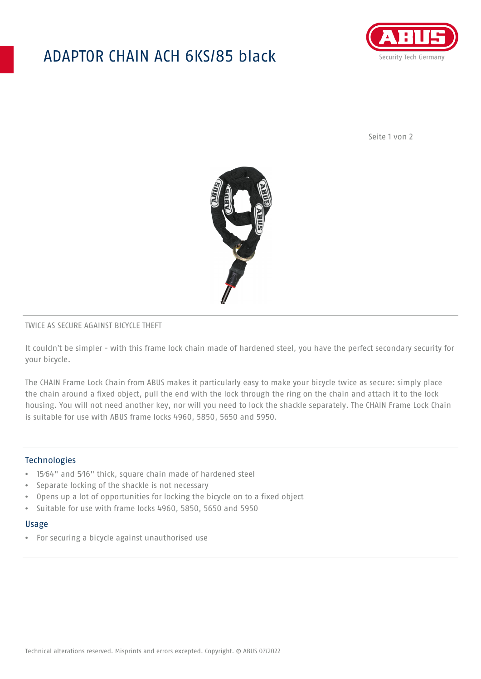## ADAPTOR CHAIN ACH 6KS/85 black



Seite 1 von 2



### TWICE AS SECURE AGAINST BICYCLE THEFT

It couldn't be simpler - with this frame lock chain made of hardened steel, you have the perfect secondary security for your bicycle.

The CHAIN Frame Lock Chain from ABUS makes it particularly easy to make your bicycle twice as secure: simply place the chain around a fixed object, pull the end with the lock through the ring on the chain and attach it to the lock housing. You will not need another key, nor will you need to lock the shackle separately. The CHAIN Frame Lock Chain is suitable for use with ABUS frame locks 4960, 5850, 5650 and 5950.

### Technologies

- 15⁄64" and 5⁄16" thick, square chain made of hardened steel
- Separate locking of the shackle is not necessary
- Opens up a lot of opportunities for locking the bicycle on to a fixed object
- Suitable for use with frame locks 4960, 5850, 5650 and 5950

#### Usage

• For securing a bicycle against unauthorised use